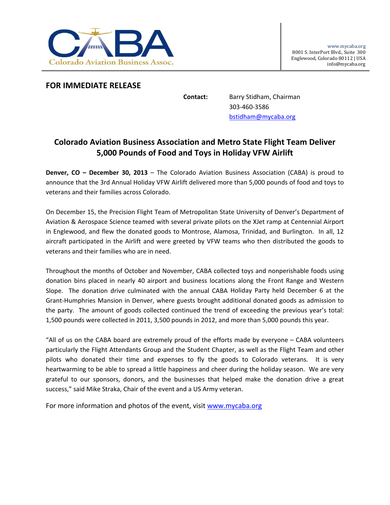

## **FOR IMMEDIATE RELEASE**

**Contact:** Barry Stidham, Chairman 303‐460‐3586 bstidham@mycaba.org

## **Colorado Aviation Business Association and Metro State Flight Team Deliver 5,000 Pounds of Food and Toys in Holiday VFW Airlift**

**Denver, CO – December 30, 2013** – The Colorado Aviation Business Association (CABA) is proud to announce that the 3rd Annual Holiday VFW Airlift delivered more than 5,000 pounds of food and toys to veterans and their families across Colorado.

On December 15, the Precision Flight Team of Metropolitan State University of Denver's Department of Aviation & Aerospace Science teamed with several private pilots on the XJet ramp at Centennial Airport in Englewood, and flew the donated goods to Montrose, Alamosa, Trinidad, and Burlington. In all, 12 aircraft participated in the Airlift and were greeted by VFW teams who then distributed the goods to veterans and their families who are in need.

Throughout the months of October and November, CABA collected toys and nonperishable foods using donation bins placed in nearly 40 airport and business locations along the Front Range and Western Slope. The donation drive culminated with the annual CABA Holiday Party held December 6 at the Grant‐Humphries Mansion in Denver, where guests brought additional donated goods as admission to the party. The amount of goods collected continued the trend of exceeding the previous year's total: 1,500 pounds were collected in 2011, 3,500 pounds in 2012, and more than 5,000 pounds this year.

"All of us on the CABA board are extremely proud of the efforts made by everyone – CABA volunteers particularly the Flight Attendants Group and the Student Chapter, as well as the Flight Team and other pilots who donated their time and expenses to fly the goods to Colorado veterans. It is very heartwarming to be able to spread a little happiness and cheer during the holiday season. We are very grateful to our sponsors, donors, and the businesses that helped make the donation drive a great success," said Mike Straka, Chair of the event and a US Army veteran.

For more information and photos of the event, visit www.mycaba.org